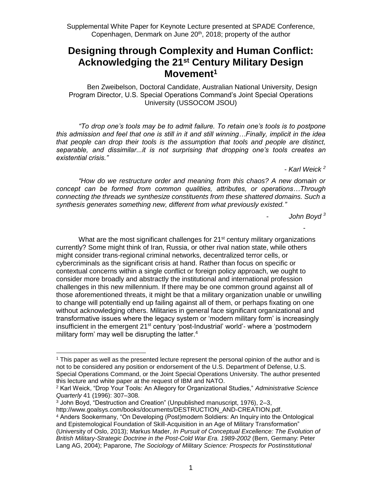# **Designing through Complexity and Human Conflict: Acknowledging the 21st Century Military Design Movement<sup>1</sup>**

Ben Zweibelson, Doctoral Candidate, Australian National University, Design Program Director, U.S. Special Operations Command's Joint Special Operations University (USSOCOM JSOU)

*"To drop one's tools may be to admit failure. To retain one's tools is to postpone this admission and feel that one is still in it and still winning…Finally, implicit in the idea that people can drop their tools is the assumption that tools and people are distinct, separable, and dissimilar...it is not surprising that dropping one's tools creates an existential crisis."*

*- Karl Weick <sup>2</sup>*

*"How do we restructure order and meaning from this chaos? A new domain or concept can be formed from common qualities, attributes, or operations…Through connecting the threads we synthesize constituents from these shattered domains. Such a synthesis generates something new, different from what previously existed."*

- *John Boyd <sup>3</sup>*

-

What are the most significant challenges for 21<sup>st</sup> century military organizations currently? Some might think of Iran, Russia, or other rival nation state, while others might consider trans-regional criminal networks, decentralized terror cells, or cybercriminals as the significant crisis at hand. Rather than focus on specific or contextual concerns within a single conflict or foreign policy approach, we ought to consider more broadly and abstractly the institutional and international profession challenges in this new millennium. If there may be one common ground against all of those aforementioned threats, it might be that a military organization unable or unwilling to change will potentially end up failing against all of them, or perhaps fixating on one without acknowledging others. Militaries in general face significant organizational and transformative issues where the legacy system or 'modern military form' is increasingly insufficient in the emergent 21<sup>st</sup> century 'post-Industrial' world'- where a 'postmodern military form' may well be disrupting the latter.<sup>4</sup>

<sup>1</sup> This paper as well as the presented lecture represent the personal opinion of the author and is not to be considered any position or endorsement of the U.S. Department of Defense, U.S. Special Operations Command, or the Joint Special Operations University. The author presented this lecture and white paper at the request of IBM and NATO.

<sup>2</sup> Karl Weick, "Drop Your Tools: An Allegory for Organizational Studies," *Administrative Science Quarterly* 41 (1996): 307–308.

<sup>3</sup> John Boyd, "Destruction and Creation" (Unpublished manuscript, 1976), 2–3,

http://www.goalsys.com/books/documents/DESTRUCTION\_AND-CREATION.pdf.

<sup>4</sup> Anders Sookermany, "On Developing (Post)modern Soldiers: An Inquiry into the Ontological and Epistemological Foundation of Skill-Acquisition in an Age of Military Transformation" (University of Oslo, 2013); Markus Mader, *In Pursuit of Conceptual Excellence: The Evolution of British Military-Strategic Doctrine in the Post-Cold War Era. 1989-2002* (Bern, Germany: Peter Lang AG, 2004); Paparone, *The Sociology of Military Science: Prospects for Postinstitutional*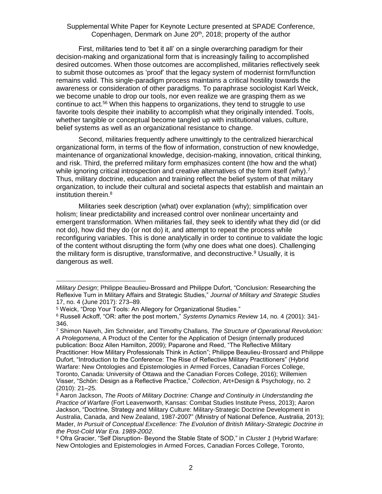First, militaries tend to 'bet it all' on a single overarching paradigm for their decision-making and organizational form that is increasingly failing to accomplished desired outcomes. When those outcomes are accomplished, militaries reflectively seek to submit those outcomes as 'proof' that the legacy system of modernist form/function remains valid. This single-paradigm process maintains a critical hostility towards the awareness or consideration of other paradigms. To paraphrase sociologist Karl Weick, we become unable to drop our tools, nor even realize we are grasping them as we continue to act.<sup>56</sup> When this happens to organizations, they tend to struggle to use favorite tools despite their inability to accomplish what they originally intended. Tools, whether tangible or conceptual become tangled up with institutional values, culture, belief systems as well as an organizational resistance to change.

Second, militaries frequently adhere unwittingly to the centralized hierarchical organizational form, in terms of the flow of information, construction of new knowledge, maintenance of organizational knowledge, decision-making, innovation, critical thinking, and risk. Third, the preferred military form emphasizes content (the how and the what) while ignoring critical introspection and creative alternatives of the form itself (why).<sup>7</sup> Thus, military doctrine, education and training reflect the belief system of that military organization, to include their cultural and societal aspects that establish and maintain an institution therein.<sup>8</sup>

Militaries seek description (what) over explanation (why); simplification over holism; linear predictability and increased control over nonlinear uncertainty and emergent transformation. When militaries fail, they seek to identify what they did (or did not do), how did they do (or not do) it, and attempt to repeat the process while reconfiguring variables. This is done analytically in order to continue to validate the logic of the content without disrupting the form (why one does what one does). Challenging the military form is disruptive, transformative, and deconstructive.<sup>9</sup> Usually, it is dangerous as well.

*Military Design*; Philippe Beaulieu-Brossard and Philippe Dufort, "Conclusion: Researching the Reflexive Turn in Military Affairs and Strategic Studies," *Journal of Military and Strategic Studies* 17, no. 4 (June 2017): 273–89.

<sup>5</sup> Weick, "Drop Your Tools: An Allegory for Organizational Studies."

<sup>6</sup> Russell Ackoff, "OR: after the post mortem," *Systems Dynamics Review* 14, no. 4 (2001): 341- 346.

<sup>7</sup> Shimon Naveh, Jim Schneider, and Timothy Challans, *The Structure of Operational Revolution: A Prolegomena*, A Product of the Center for the Application of Design (internally produced publication: Booz Allen Hamilton, 2009); Paparone and Reed, "The Reflective Military Practitioner: How Military Professionals Think in Action"; Philippe Beaulieu-Brossard and Philippe Dufort, "Introduction to the Conference: The Rise of Reflective Military Practitioners" (Hybrid Warfare: New Ontologies and Epistemologies in Armed Forces, Canadian Forces College, Toronto, Canada: University of Ottawa and the Canadian Forces College, 2016); Willemien Visser, "Schön: Design as a Reflective Practice," *Collection*, Art+Design & Psychology, no. 2 (2010): 21–25.

<sup>8</sup> Aaron Jackson, *The Roots of Military Doctrine: Change and Continuity in Understanding the Practice of Warfare* (Fort Leavenworth, Kansas: Combat Studies Institute Press, 2013); Aaron Jackson, "Doctrine, Strategy and Military Culture: Military-Strategic Doctrine Development in Australia, Canada, and New Zealand, 1987-2007" (Ministry of National Defence, Australia, 2013); Mader, *In Pursuit of Conceptual Excellence: The Evolution of British Military-Strategic Doctrine in the Post-Cold War Era. 1989-2002*.

<sup>9</sup> Ofra Gracier, "Self Disruption- Beyond the Stable State of SOD," in *Cluster 1* (Hybrid Warfare: New Ontologies and Epistemologies in Armed Forces, Canadian Forces College, Toronto,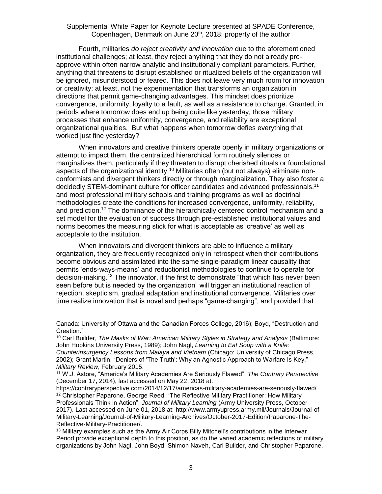Fourth, militaries *do reject creativity and innovation* due to the aforementioned institutional challenges; at least, they reject anything that they do not already preapprove within often narrow analytic and institutionally compliant parameters. Further, anything that threatens to disrupt established or ritualized beliefs of the organization will be ignored, misunderstood or feared. This does not leave very much room for innovation or creativity; at least, not the experimentation that transforms an organization in directions that permit game-changing advantages. This mindset does prioritize convergence, uniformity, loyalty to a fault, as well as a resistance to change. Granted, in periods where tomorrow does end up being quite like yesterday, those military processes that enhance uniformity, convergence, and reliability are exceptional organizational qualities. But what happens when tomorrow defies everything that worked just fine yesterday?

When innovators and creative thinkers operate openly in military organizations or attempt to impact them, the centralized hierarchical form routinely silences or marginalizes them, particularly if they threaten to disrupt cherished rituals or foundational aspects of the organizational identity.<sup>10</sup> Militaries often (but not always) eliminate nonconformists and divergent thinkers directly or through marginalization. They also foster a decidedly STEM-dominant culture for officer candidates and advanced professionals,<sup>11</sup> and most professional military schools and training programs as well as doctrinal methodologies create the conditions for increased convergence, uniformity, reliability, and prediction.<sup>12</sup> The dominance of the hierarchically centered control mechanism and a set model for the evaluation of success through pre-established institutional values and norms becomes the measuring stick for what is acceptable as 'creative' as well as acceptable to the institution.

When innovators and divergent thinkers are able to influence a military organization, they are frequently recognized only in retrospect when their contributions become obvious and assimilated into the same single-paradigm linear causality that permits 'ends-ways-means' and reductionist methodologies to continue to operate for decision-making.<sup>13</sup> The innovator, if the first to demonstrate "that which has never been seen before but is needed by the organization" will trigger an institutional reaction of rejection, skepticism, gradual adaptation and institutional convergence. Militaries over time realize innovation that is novel and perhaps "game-changing", and provided that

Canada: University of Ottawa and the Canadian Forces College, 2016); Boyd, "Destruction and Creation."

<sup>10</sup> Carl Builder, *The Masks of War: American Military Styles in Strategy and Analysis* (Baltimore: John Hopkins University Press, 1989); John Nagl, *Learning to Eat Soup with a Knife: Counterinsurgency Lessons from Malaya and Vietnam* (Chicago: University of Chicago Press, 2002); Grant Martin, "Deniers of 'The Truth': Why an Agnostic Approach to Warfare Is Key," *Military Review*, February 2015.

<sup>11</sup> W.J. Astore, "America's Military Academies Are Seriously Flawed", *The Contrary Perspective* (December 17, 2014), last accessed on May 22, 2018 at:

https://contraryperspective.com/2014/12/17/americas-military-academies-are-seriously-flawed/ <sup>12</sup> Christopher Paparone, George Reed, "The Reflective Military Practitioner: How Military Professionals Think in Action", *Journal of Military Learning* (Army University Press, October 2017). Last accessed on June 01, 2018 at: http://www.armyupress.army.mil/Journals/Journal-of-Military-Learning/Journal-of-Military-Learning-Archives/October-2017-Edition/Paparone-The-Reflective-Military-Practitioner/.

<sup>&</sup>lt;sup>13</sup> Military examples such as the Army Air Corps Billy Mitchell's contributions in the Interwar Period provide exceptional depth to this position, as do the varied academic reflections of military organizations by John Nagl, John Boyd, Shimon Naveh, Carl Builder, and Christopher Paparone.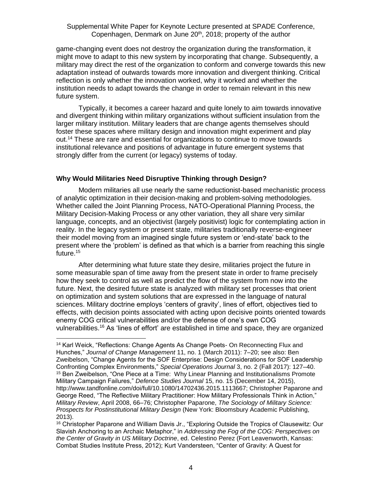game-changing event does not destroy the organization during the transformation, it might move to adapt to this new system by incorporating that change. Subsequently, a military may direct the rest of the organization to conform and converge towards this new adaptation instead of outwards towards more innovation and divergent thinking. Critical reflection is only whether the innovation worked, why it worked and whether the institution needs to adapt towards the change in order to remain relevant in this new future system.

Typically, it becomes a career hazard and quite lonely to aim towards innovative and divergent thinking within military organizations without sufficient insulation from the larger military institution. Military leaders that are change agents themselves should foster these spaces where military design and innovation might experiment and play out.<sup>14</sup> These are rare and essential for organizations to continue to move towards institutional relevance and positions of advantage in future emergent systems that strongly differ from the current (or legacy) systems of today.

#### **Why Would Militaries Need Disruptive Thinking through Design?**

Modern militaries all use nearly the same reductionist-based mechanistic process of analytic optimization in their decision-making and problem-solving methodologies. Whether called the Joint Planning Process, NATO-Operational Planning Process, the Military Decision-Making Process or any other variation, they all share very similar language, concepts, and an objectivist (largely positivist) logic for contemplating action in reality. In the legacy system or present state, militaries traditionally reverse-engineer their model moving from an imagined single future system or 'end-state' back to the present where the 'problem' is defined as that which is a barrier from reaching this single future. 15

After determining what future state they desire, militaries project the future in some measurable span of time away from the present state in order to frame precisely how they seek to control as well as predict the flow of the system from now into the future. Next, the desired future state is analyzed with military set processes that orient on optimization and system solutions that are expressed in the language of natural sciences. Military doctrine employs 'centers of gravity', lines of effort, objectives tied to effects, with decision points associated with acting upon decisive points oriented towards enemy COG critical vulnerabilities and/or the defense of one's own COG vulnerabilities.<sup>16</sup> As 'lines of effort' are established in time and space, they are organized

 <sup>14</sup> Karl Weick, "Reflections: Change Agents As Change Poets- On Reconnecting Flux and Hunches," *Journal of Change Management* 11, no. 1 (March 2011): 7–20; see also: Ben Zweibelson, "Change Agents for the SOF Enterprise: Design Considerations for SOF Leadership Confronting Complex Environments," *Special Operations Journal* 3, no. 2 (Fall 2017): 127–40. <sup>15</sup> Ben Zweibelson, "One Piece at a Time: Why Linear Planning and Institutionalisms Promote Military Campaign Failures," *Defence Studies Journal* 15, no. 15 (December 14, 2015), http://www.tandfonline.com/doi/full/10.1080/14702436.2015.1113667; Christopher Paparone and George Reed, "The Reflective Military Practitioner: How Military Professionals Think in Action," *Military Review*, April 2008, 66–76; Christopher Paparone, *The Sociology of Military Science: Prospects for Postinstitutional Military Design* (New York: Bloomsbury Academic Publishing, 2013).

<sup>16</sup> Christopher Paparone and William Davis Jr., "Exploring Outside the Tropics of Clausewitz: Our Slavish Anchoring to an Archaic Metaphor," in *Addressing the Fog of the COG: Perspectives on the Center of Gravity in US Military Doctrine*, ed. Celestino Perez (Fort Leavenworth, Kansas: Combat Studies Institute Press, 2012); Kurt Vandersteen, "Center of Gravity: A Quest for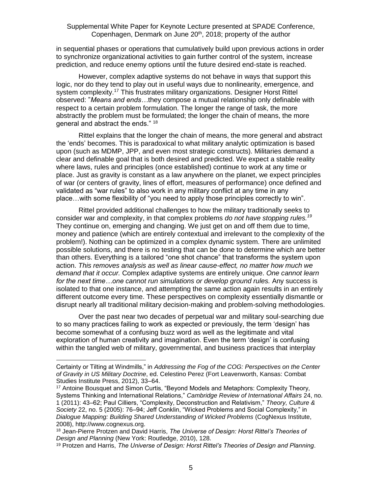in sequential phases or operations that cumulatively build upon previous actions in order to synchronize organizational activities to gain further control of the system, increase prediction, and reduce enemy options until the future desired end-state is reached.

However, complex adaptive systems do not behave in ways that support this logic, nor do they tend to play out in useful ways due to nonlinearity, emergence, and system complexity.<sup>17</sup> This frustrates military organizations. Designer Horst Rittel observed: "*Means and ends…*they compose a mutual relationship only definable with respect to a certain problem formulation. The longer the range of task, the more abstractly the problem must be formulated; the longer the chain of means, the more general and abstract the ends." <sup>18</sup>

Rittel explains that the longer the chain of means, the more general and abstract the 'ends' becomes. This is paradoxical to what military analytic optimization is based upon (such as MDMP, JPP, and even most strategic constructs). Militaries demand a clear and definable goal that is both desired and predicted. We expect a stable reality where laws, rules and principles (once established) continue to work at any time or place. Just as gravity is constant as a law anywhere on the planet, we expect principles of war (or centers of gravity, lines of effort, measures of performance) once defined and validated as "war rules" to also work in any military conflict at any time in any place…with some flexibility of "you need to apply those principles correctly to win".

Rittel provided additional challenges to how the military traditionally seeks to consider war and complexity, in that complex problems *do not have stopping rules.<sup>19</sup>* They continue on, emerging and changing. We just get on and off them due to time, money and patience (which are entirely contextual and irrelevant to the complexity of the problem!). Nothing can be optimized in a complex dynamic system. There are unlimited possible solutions, and there is no testing that can be done to determine which are better than others. Everything is a tailored "one shot chance" that transforms the system upon action. *This removes analysis as well as linear cause-effect, no matter how much we demand that it occur.* Complex adaptive systems are entirely unique. *One cannot learn for the next time…one cannot run simulations or develop ground rules.* Any success is isolated to that one instance, and attempting the same action again results in an entirely different outcome every time. These perspectives on complexity essentially dismantle or disrupt nearly all traditional military decision-making and problem-solving methodologies.

Over the past near two decades of perpetual war and military soul-searching due to so many practices failing to work as expected or previously, the term 'design' has become somewhat of a confusing buzz word as well as the legitimate and vital exploration of human creativity and imagination. Even the term 'design' is confusing within the tangled web of military, governmental, and business practices that interplay

Certainty or Tilting at Windmills," in *Addressing the Fog of the COG: Perspectives on the Center of Gravity in US Military Doctrine*, ed. Celestino Perez (Fort Leavenworth, Kansas: Combat Studies Institute Press, 2012), 33–64.

<sup>&</sup>lt;sup>17</sup> Antoine Bousquet and Simon Curtis, "Beyond Models and Metaphors: Complexity Theory, Systems Thinking and International Relations," *Cambridge Review of International Affairs* 24, no. 1 (2011): 43–62; Paul Cilliers, "Complexity, Deconstruction and Relativism," *Theory, Culture & Society* 22, no. 5 (2005): 76–94; Jeff Conklin, "Wicked Problems and Social Complexity," in *Dialogue Mapping: Building Shared Understanding of Wicked Problems* (CogNexus Institute, 2008), http://www.cognexus.org.

<sup>18</sup> Jean-Pierre Protzen and David Harris, *The Universe of Design: Horst Rittel's Theories of Design and Planning* (New York: Routledge, 2010), 128.

<sup>19</sup> Protzen and Harris, *The Universe of Design: Horst Rittel's Theories of Design and Planning*.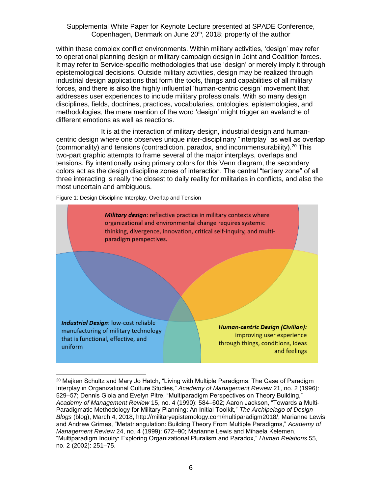within these complex conflict environments. Within military activities, 'design' may refer to operational planning design or military campaign design in Joint and Coalition forces. It may refer to Service-specific methodologies that use 'design' or merely imply it through epistemological decisions. Outside military activities, design may be realized through industrial design applications that form the tools, things and capabilities of all military forces, and there is also the highly influential 'human-centric design' movement that addresses user experiences to include military professionals. With so many design disciplines, fields, doctrines, practices, vocabularies, ontologies, epistemologies, and methodologies, the mere mention of the word 'design' might trigger an avalanche of different emotions as well as reactions.

It is at the interaction of military design, industrial design and humancentric design where one observes unique inter-disciplinary "interplay" as well as overlap (commonality) and tensions (contradiction, paradox, and incommensurability).<sup>20</sup> This two-part graphic attempts to frame several of the major interplays, overlaps and tensions. By intentionally using primary colors for this Venn diagram, the secondary colors act as the design discipline zones of interaction. The central "tertiary zone" of all three interacting is really the closest to daily reality for militaries in conflicts, and also the most uncertain and ambiguous.

Figure 1: Design Discipline Interplay, Overlap and Tension



 $20$  Majken Schultz and Mary Jo Hatch, "Living with Multiple Paradigms: The Case of Paradigm Interplay in Organizational Culture Studies," *Academy of Management Review* 21, no. 2 (1996): 529–57; Dennis Gioia and Evelyn Pitre, "Multiparadigm Perspectives on Theory Building," *Academy of Management Review* 15, no. 4 (1990): 584–602; Aaron Jackson, "Towards a Multi-Paradigmatic Methodology for Military Planning: An Initial Toolkit," *The Archipelago of Design Blogs* (blog), March 4, 2018, http://militaryepistemology.com/multiparadigm2018/; Marianne Lewis and Andrew Grimes, "Metatriangulation: Building Theory From Multiple Paradigms," *Academy of Management Review* 24, no. 4 (1999): 672–90; Marianne Lewis and Mihaela Kelemen, "Multiparadigm Inquiry: Exploring Organizational Pluralism and Paradox," *Human Relations* 55, no. 2 (2002): 251–75.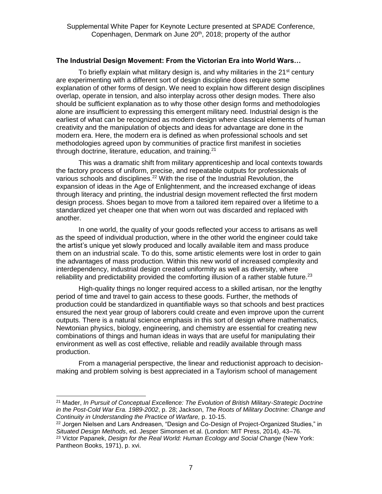#### **The Industrial Design Movement: From the Victorian Era into World Wars…**

To briefly explain what military design is, and why militaries in the 21<sup>st</sup> century are experimenting with a different sort of design discipline does require some explanation of other forms of design. We need to explain how different design disciplines overlap, operate in tension, and also interplay across other design modes. There also should be sufficient explanation as to why those other design forms and methodologies alone are insufficient to expressing this emergent military need. Industrial design is the earliest of what can be recognized as modern design where classical elements of human creativity and the manipulation of objects and ideas for advantage are done in the modern era. Here, the modern era is defined as when professional schools and set methodologies agreed upon by communities of practice first manifest in societies through doctrine, literature, education, and training.<sup>21</sup>

This was a dramatic shift from military apprenticeship and local contexts towards the factory process of uniform, precise, and repeatable outputs for professionals of various schools and disciplines.<sup>22</sup> With the rise of the Industrial Revolution, the expansion of ideas in the Age of Enlightenment, and the increased exchange of ideas through literacy and printing, the industrial design movement reflected the first modern design process. Shoes began to move from a tailored item repaired over a lifetime to a standardized yet cheaper one that when worn out was discarded and replaced with another.

In one world, the quality of your goods reflected your access to artisans as well as the speed of individual production, where in the other world the engineer could take the artist's unique yet slowly produced and locally available item and mass produce them on an industrial scale. To do this, some artistic elements were lost in order to gain the advantages of mass production. Within this new world of increased complexity and interdependency, industrial design created uniformity as well as diversity, where reliability and predictability provided the comforting illusion of a rather stable future.<sup>23</sup>

High-quality things no longer required access to a skilled artisan, nor the lengthy period of time and travel to gain access to these goods. Further, the methods of production could be standardized in quantifiable ways so that schools and best practices ensured the next year group of laborers could create and even improve upon the current outputs. There is a natural science emphasis in this sort of design where mathematics, Newtonian physics, biology, engineering, and chemistry are essential for creating new combinations of things and human ideas in ways that are useful for manipulating their environment as well as cost effective, reliable and readily available through mass production.

From a managerial perspective, the linear and reductionist approach to decisionmaking and problem solving is best appreciated in a Taylorism school of management

<sup>21</sup> Mader, *In Pursuit of Conceptual Excellence: The Evolution of British Military-Strategic Doctrine in the Post-Cold War Era. 1989-2002*, p. 28; Jackson, *The Roots of Military Doctrine: Change and Continuity in Understanding the Practice of Warfare,* p. 10-15.

<sup>&</sup>lt;sup>22</sup> Jorgen Nielsen and Lars Andreasen, "Design and Co-Design of Project-Organized Studies," in *Situated Design Methods*, ed. Jesper Simonsen et al. (London: MIT Press, 2014), 43–76. <sup>23</sup> Victor Papanek, *Design for the Real World: Human Ecology and Social Change* (New York: Pantheon Books, 1971), p. xvi.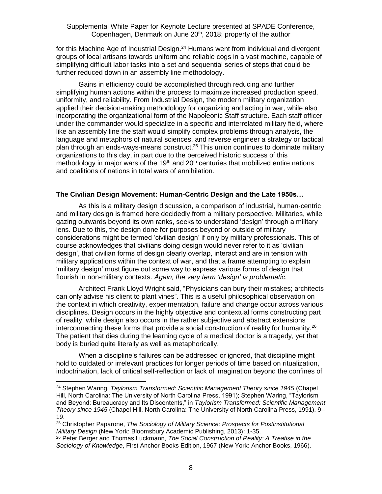for this Machine Age of Industrial Design.<sup>24</sup> Humans went from individual and divergent groups of local artisans towards uniform and reliable cogs in a vast machine, capable of simplifying difficult labor tasks into a set and sequential series of steps that could be further reduced down in an assembly line methodology.

Gains in efficiency could be accomplished through reducing and further simplifying human actions within the process to maximize increased production speed, uniformity, and reliability. From Industrial Design, the modern military organization applied their decision-making methodology for organizing and acting in war, while also incorporating the organizational form of the Napoleonic Staff structure. Each staff officer under the commander would specialize in a specific and interrelated military field, where like an assembly line the staff would simplify complex problems through analysis, the language and metaphors of natural sciences, and reverse engineer a strategy or tactical plan through an ends-ways-means construct.<sup>25</sup> This union continues to dominate military organizations to this day, in part due to the perceived historic success of this methodology in major wars of the 19<sup>th</sup> and 20<sup>th</sup> centuries that mobilized entire nations and coalitions of nations in total wars of annihilation.

#### **The Civilian Design Movement: Human-Centric Design and the Late 1950s…**

As this is a military design discussion, a comparison of industrial, human-centric and military design is framed here decidedly from a military perspective. Militaries, while gazing outwards beyond its own ranks, seeks to understand 'design' through a military lens. Due to this, the design done for purposes beyond or outside of military considerations might be termed 'civilian design' if only by military professionals. This of course acknowledges that civilians doing design would never refer to it as 'civilian design', that civilian forms of design clearly overlap, interact and are in tension with military applications within the context of war, and that a frame attempting to explain 'military design' must figure out some way to express various forms of design that flourish in non-military contexts. *Again, the very term 'design' is problematic*.

Architect Frank Lloyd Wright said, "Physicians can bury their mistakes; architects can only advise his client to plant vines". This is a useful philosophical observation on the context in which creativity, experimentation, failure and change occur across various disciplines. Design occurs in the highly objective and contextual forms constructing part of reality, while design also occurs in the rather subjective and abstract extensions interconnecting these forms that provide a social construction of reality for humanity.<sup>26</sup> The patient that dies during the learning cycle of a medical doctor is a tragedy, yet that body is buried quite literally as well as metaphorically.

When a discipline's failures can be addressed or ignored, that discipline might hold to outdated or irrelevant practices for longer periods of time based on ritualization, indoctrination, lack of critical self-reflection or lack of imagination beyond the confines of

<sup>24</sup> Stephen Waring, *Taylorism Transformed: Scientific Management Theory since 1945* (Chapel Hill, North Carolina: The University of North Carolina Press, 1991); Stephen Waring, "Taylorism and Beyond: Bureaucracy and Its Discontents," in *Taylorism Transformed: Scientific Management Theory since 1945* (Chapel Hill, North Carolina: The University of North Carolina Press, 1991), 9– 19.

<sup>25</sup> Christopher Paparone, *The Sociology of Military Science: Prospects for Postinstitutional Military Design* (New York: Bloomsbury Academic Publishing, 2013): 1-35.

<sup>26</sup> Peter Berger and Thomas Luckmann, *The Social Construction of Reality: A Treatise in the Sociology of Knowledge*, First Anchor Books Edition, 1967 (New York: Anchor Books, 1966).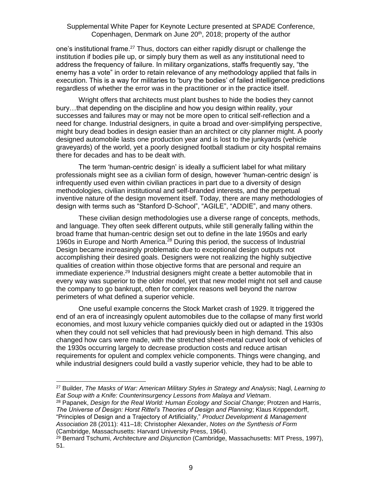one's institutional frame.<sup>27</sup> Thus, doctors can either rapidly disrupt or challenge the institution if bodies pile up, or simply bury them as well as any institutional need to address the frequency of failure. In military organizations, staffs frequently say, "the enemy has a vote" in order to retain relevance of any methodology applied that fails in execution. This is a way for militaries to 'bury the bodies' of failed intelligence predictions regardless of whether the error was in the practitioner or in the practice itself.

Wright offers that architects must plant bushes to hide the bodies they cannot bury…that depending on the discipline and how you design within reality, your successes and failures may or may not be more open to critical self-reflection and a need for change. Industrial designers, in quite a broad and over-simplifying perspective, might bury dead bodies in design easier than an architect or city planner might. A poorly designed automobile lasts one production year and is lost to the junkyards (vehicle graveyards) of the world, yet a poorly designed football stadium or city hospital remains there for decades and has to be dealt with.

The term 'human-centric design' is ideally a sufficient label for what military professionals might see as a civilian form of design, however 'human-centric design' is infrequently used even within civilian practices in part due to a diversity of design methodologies, civilian institutional and self-branded interests, and the perpetual inventive nature of the design movement itself. Today, there are many methodologies of design with terms such as "Stanford D-School", "AGILE", "ADDIE", and many others.

These civilian design methodologies use a diverse range of concepts, methods, and language. They often seek different outputs, while still generally falling within the broad frame that human-centric design set out to define in the late 1950s and early 1960s in Europe and North America.<sup>28</sup> During this period, the success of Industrial Design became increasingly problematic due to exceptional design outputs not accomplishing their desired goals. Designers were not realizing the highly subjective qualities of creation within those objective forms that are personal and require an immediate experience.<sup>29</sup> Industrial designers might create a better automobile that in every way was superior to the older model, yet that new model might not sell and cause the company to go bankrupt, often for complex reasons well beyond the narrow perimeters of what defined a superior vehicle.

One useful example concerns the Stock Market crash of 1929. It triggered the end of an era of increasingly opulent automobiles due to the collapse of many first world economies, and most luxury vehicle companies quickly died out or adapted in the 1930s when they could not sell vehicles that had previously been in high demand. This also changed how cars were made, with the stretched sheet-metal curved look of vehicles of the 1930s occurring largely to decrease production costs and reduce artisan requirements for opulent and complex vehicle components. Things were changing, and while industrial designers could build a vastly superior vehicle, they had to be able to

<sup>28</sup> Papanek, *Design for the Real World: Human Ecology and Social Change*; Protzen and Harris, *The Universe of Design: Horst Rittel's Theories of Design and Planning*; Klaus Krippendorff, "Principles of Design and a Trajectory of Artificiality," *Product Development & Management Association* 28 (2011): 411–18; Christopher Alexander, *Notes on the Synthesis of Form* (Cambridge, Massachusetts: Harvard University Press, 1964).

<sup>27</sup> Builder, *The Masks of War: American Military Styles in Strategy and Analysis*; Nagl, *Learning to Eat Soup with a Knife: Counterinsurgency Lessons from Malaya and Vietnam*.

<sup>29</sup> Bernard Tschumi, *Architecture and Disjunction* (Cambridge, Massachusetts: MIT Press, 1997), 51.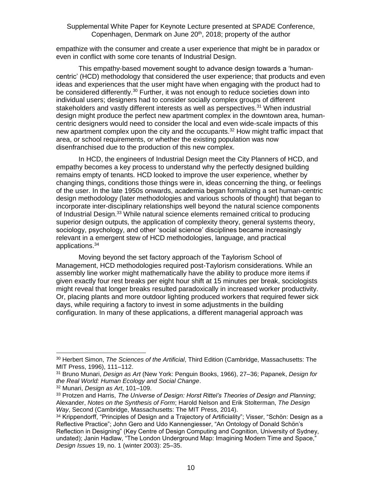empathize with the consumer and create a user experience that might be in paradox or even in conflict with some core tenants of Industrial Design.

This empathy-based movement sought to advance design towards a 'humancentric' (HCD) methodology that considered the user experience; that products and even ideas and experiences that the user might have when engaging with the product had to be considered differently.<sup>30</sup> Further, it was not enough to reduce societies down into individual users; designers had to consider socially complex groups of different stakeholders and vastly different interests as well as perspectives.<sup>31</sup> When industrial design might produce the perfect new apartment complex in the downtown area, humancentric designers would need to consider the local and even wide-scale impacts of this new apartment complex upon the city and the occupants.<sup>32</sup> How might traffic impact that area, or school requirements, or whether the existing population was now disenfranchised due to the production of this new complex.

In HCD, the engineers of Industrial Design meet the City Planners of HCD, and empathy becomes a key process to understand why the perfectly designed building remains empty of tenants. HCD looked to improve the user experience, whether by changing things, conditions those things were in, ideas concerning the thing, or feelings of the user. In the late 1950s onwards, academia began formalizing a set human-centric design methodology (later methodologies and various schools of thought) that began to incorporate inter-disciplinary relationships well beyond the natural science components of Industrial Design.<sup>33</sup> While natural science elements remained critical to producing superior design outputs, the application of complexity theory, general systems theory, sociology, psychology, and other 'social science' disciplines became increasingly relevant in a emergent stew of HCD methodologies, language, and practical applications.<sup>34</sup>

Moving beyond the set factory approach of the Taylorism School of Management, HCD methodologies required post-Taylorism considerations. While an assembly line worker might mathematically have the ability to produce more items if given exactly four rest breaks per eight hour shift at 15 minutes per break, sociologists might reveal that longer breaks resulted paradoxically in increased worker productivity. Or, placing plants and more outdoor lighting produced workers that required fewer sick days, while requiring a factory to invest in some adjustments in the building configuration. In many of these applications, a different managerial approach was

<sup>30</sup> Herbert Simon, *The Sciences of the Artificial*, Third Edition (Cambridge, Massachusetts: The MIT Press, 1996), 111–112.

<sup>31</sup> Bruno Munari, *Design as Art* (New York: Penguin Books, 1966), 27–36; Papanek, *Design for the Real World: Human Ecology and Social Change*.

<sup>32</sup> Munari, *Design as Art*, 101–109.

<sup>33</sup> Protzen and Harris, *The Universe of Design: Horst Rittel's Theories of Design and Planning*; Alexander, *Notes on the Synthesis of Form*; Harold Nelson and Erik Stolterman, *The Design Way*, Second (Cambridge, Massachusetts: The MIT Press, 2014).

<sup>34</sup> Krippendorff, "Principles of Design and a Trajectory of Artificiality"; Visser, "Schön: Design as a Reflective Practice"; John Gero and Udo Kannengiesser, "An Ontology of Donald Schön's Reflection in Designing" (Key Centre of Design Computing and Cognition, University of Sydney, undated); Janin Hadlaw, "The London Underground Map: Imagining Modern Time and Space," *Design Issues* 19, no. 1 (winter 2003): 25–35.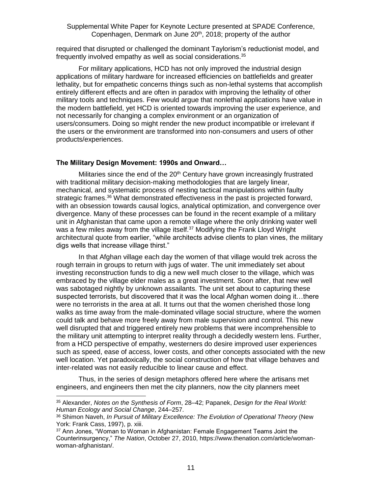required that disrupted or challenged the dominant Taylorism's reductionist model, and frequently involved empathy as well as social considerations.<sup>35</sup>

For military applications, HCD has not only improved the industrial design applications of military hardware for increased efficiencies on battlefields and greater lethality, but for empathetic concerns things such as non-lethal systems that accomplish entirely different effects and are often in paradox with improving the lethality of other military tools and techniques. Few would argue that nonlethal applications have value in the modern battlefield, yet HCD is oriented towards improving the user experience, and not necessarily for changing a complex environment or an organization of users/consumers. Doing so might render the new product incompatible or irrelevant if the users or the environment are transformed into non-consumers and users of other products/experiences.

#### **The Military Design Movement: 1990s and Onward…**

Militaries since the end of the 20<sup>th</sup> Century have grown increasingly frustrated with traditional military decision-making methodologies that are largely linear, mechanical, and systematic process of nesting tactical manipulations within faulty strategic frames.<sup>36</sup> What demonstrated effectiveness in the past is projected forward, with an obsession towards causal logics, analytical optimization, and convergence over divergence. Many of these processes can be found in the recent example of a military unit in Afghanistan that came upon a remote village where the only drinking water well was a few miles away from the village itself.<sup>37</sup> Modifying the Frank Lloyd Wright architectural quote from earlier, "while architects advise clients to plan vines, the military digs wells that increase village thirst."

In that Afghan village each day the women of that village would trek across the rough terrain in groups to return with jugs of water. The unit immediately set about investing reconstruction funds to dig a new well much closer to the village, which was embraced by the village elder males as a great investment. Soon after, that new well was sabotaged nightly by unknown assailants. The unit set about to capturing these suspected terrorists, but discovered that it was the local Afghan women doing it…there were no terrorists in the area at all. It turns out that the women cherished those long walks as time away from the male-dominated village social structure, where the women could talk and behave more freely away from male supervision and control. This new well disrupted that and triggered entirely new problems that were incomprehensible to the military unit attempting to interpret reality through a decidedly western lens. Further, from a HCD perspective of empathy, westerners do desire improved user experiences such as speed, ease of access, lower costs, and other concepts associated with the new well location. Yet paradoxically, the social construction of how that village behaves and inter-related was not easily reducible to linear cause and effect.

Thus, in the series of design metaphors offered here where the artisans met engineers, and engineers then met the city planners, now the city planners meet

<sup>35</sup> Alexander, *Notes on the Synthesis of Form*, 28–42; Papanek, *Design for the Real World: Human Ecology and Social Change*, 244–257.

<sup>36</sup> Shimon Naveh, *In Pursuit of Military Excellence: The Evolution of Operational Theory* (New York: Frank Cass, 1997), p. xiii.

<sup>37</sup> Ann Jones, "Woman to Woman in Afghanistan: Female Engagement Teams Joint the Counterinsurgency," *The Nation*, October 27, 2010, https://www.thenation.com/article/womanwoman-afghanistan/.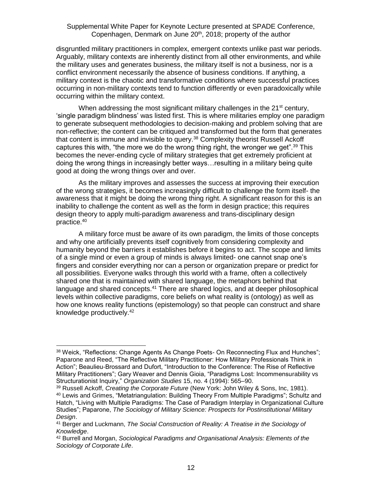disgruntled military practitioners in complex, emergent contexts unlike past war periods. Arguably, military contexts are inherently distinct from all other environments, and while the military uses and generates business, the military itself is not a business, nor is a conflict environment necessarily the absence of business conditions. If anything, a military context is the chaotic and transformative conditions where successful practices occurring in non-military contexts tend to function differently or even paradoxically while occurring within the military context.

When addressing the most significant military challenges in the  $21<sup>st</sup>$  century, 'single paradigm blindness' was listed first. This is where militaries employ one paradigm to generate subsequent methodologies to decision-making and problem solving that are non-reflective; the content can be critiqued and transformed but the form that generates that content is immune and invisible to query.<sup>38</sup> Complexity theorist Russell Ackoff captures this with, "the more we do the wrong thing right, the wronger we get". $39$  This becomes the never-ending cycle of military strategies that get extremely proficient at doing the wrong things in increasingly better ways…resulting in a military being quite good at doing the wrong things over and over.

As the military improves and assesses the success at improving their execution of the wrong strategies, it becomes increasingly difficult to challenge the form itself- the awareness that it might be doing the wrong thing right. A significant reason for this is an inability to challenge the content as well as the form in design practice; this requires design theory to apply multi-paradigm awareness and trans-disciplinary design practice.<sup>40</sup>

A military force must be aware of its own paradigm, the limits of those concepts and why one artificially prevents itself cognitively from considering complexity and humanity beyond the barriers it establishes before it begins to act. The scope and limits of a single mind or even a group of minds is always limited- one cannot snap one's fingers and consider everything nor can a person or organization prepare or predict for all possibilities. Everyone walks through this world with a frame, often a collectively shared one that is maintained with shared language, the metaphors behind that language and shared concepts.<sup>41</sup> There are shared logics, and at deeper philosophical levels within collective paradigms, core beliefs on what reality is (ontology) as well as how one knows reality functions (epistemology) so that people can construct and share knowledge productively.<sup>42</sup>

<sup>38</sup> Weick, "Reflections: Change Agents As Change Poets- On Reconnecting Flux and Hunches"; Paparone and Reed, "The Reflective Military Practitioner: How Military Professionals Think in Action"; Beaulieu-Brossard and Dufort, "Introduction to the Conference: The Rise of Reflective Military Practitioners"; Gary Weaver and Dennis Gioia, "Paradigms Lost: Incommensurability vs Structurationist Inquiry," *Organization Studies* 15, no. 4 (1994): 565–90.

<sup>39</sup> Russell Ackoff, *Creating the Corporate Future* (New York: John Wiley & Sons, Inc, 1981). <sup>40</sup> Lewis and Grimes, "Metatriangulation: Building Theory From Multiple Paradigms"; Schultz and Hatch, "Living with Multiple Paradigms: The Case of Paradigm Interplay in Organizational Culture Studies"; Paparone, *The Sociology of Military Science: Prospects for Postinstitutional Military Design*.

<sup>41</sup> Berger and Luckmann, *The Social Construction of Reality: A Treatise in the Sociology of Knowledge*.

<sup>42</sup> Burrell and Morgan, *Sociological Paradigms and Organisational Analysis: Elements of the Sociology of Corporate Life*.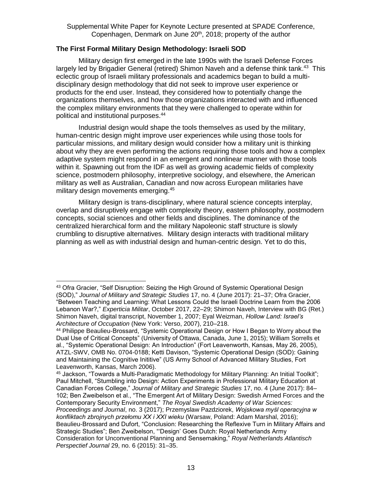# **The First Formal Military Design Methodology: Israeli SOD**

Military design first emerged in the late 1990s with the Israeli Defense Forces largely led by Brigadier General (retired) Shimon Naveh and a defense think tank.<sup>43</sup> This eclectic group of Israeli military professionals and academics began to build a multidisciplinary design methodology that did not seek to improve user experience or products for the end user. Instead, they considered how to potentially change the organizations themselves, and how those organizations interacted with and influenced the complex military environments that they were challenged to operate within for political and institutional purposes.<sup>44</sup>

Industrial design would shape the tools themselves as used by the military, human-centric design might improve user experiences while using those tools for particular missions, and military design would consider how a military unit is thinking about why they are even performing the actions requiring those tools and how a complex adaptive system might respond in an emergent and nonlinear manner with those tools within it. Spawning out from the IDF as well as growing academic fields of complexity science, postmodern philosophy, interpretive sociology, and elsewhere, the American military as well as Australian, Canadian and now across European militaries have military design movements emerging.<sup>45</sup>

Military design is trans-disciplinary, where natural science concepts interplay, overlap and disruptively engage with complexity theory, eastern philosophy, postmodern concepts, social sciences and other fields and disciplines. The dominance of the centralized hierarchical form and the military Napoleonic staff structure is slowly crumbling to disruptive alternatives. Military design interacts with traditional military planning as well as with industrial design and human-centric design. Yet to do this,

 $\overline{a}$ <sup>43</sup> Ofra Gracier, "Self Disruption: Seizing the High Ground of Systemic Operational Design (SOD)," *Journal of Military and Strategic Studies* 17, no. 4 (June 2017): 21–37; Ofra Gracier, "Between Teaching and Learning: What Lessons Could the Israeli Doctrine Learn from the 2006 Lebanon War?," *Experticia Militar*, October 2017, 22–29; Shimon Naveh, Interview with BG (Ret.) Shimon Naveh, digital transcript, November 1, 2007; Eyal Weizman, *Hollow Land: Israel's Architecture of Occupation* (New York: Verso, 2007), 210–218.

<sup>44</sup> Philippe Beaulieu-Brossard, "Systemic Operational Design or How I Began to Worry about the Dual Use of Critical Concepts" (University of Ottawa, Canada, June 1, 2015); William Sorrells et al., "Systemic Operational Design: An Introduction" (Fort Leavenworth, Kansas, May 26, 2005), ATZL-SWV, OMB No. 0704-0188; Ketti Davison, "Systemic Operational Design (SOD): Gaining and Maintaining the Cognitive Inititive" (US Army School of Advanced Military Studies, Fort Leavenworth, Kansas, March 2006).

<sup>45</sup> Jackson, "Towards a Multi-Paradigmatic Methodology for Military Planning: An Initial Toolkit"; Paul Mitchell, "Stumbling into Design: Action Experiments in Professional Military Education at Canadian Forces College," *Journal of Military and Strategic Studies* 17, no. 4 (June 2017): 84– 102; Ben Zweibelson et al., "The Emergent Art of Military Design: Swedish Armed Forces and the Contemporary Security Environment," *The Royal Swedish Academy of War Sciences: Proceedings and Journal*, no. 3 (2017); Przemyslaw Pazdziorek, *Wojskowa myśl operacyjna w konfliktach zbrojnych przełomu XX i XXI wieku* (Warsaw, Poland: Adam Marshal, 2016); Beaulieu-Brossard and Dufort, "Conclusion: Researching the Reflexive Turn in Military Affairs and Strategic Studies"; Ben Zweibelson, "'Design' Goes Dutch: Royal Netherlands Army Consideration for Unconventional Planning and Sensemaking," *Royal Netherlands Atlantisch Perspectief Journal* 29, no. 6 (2015): 31–35.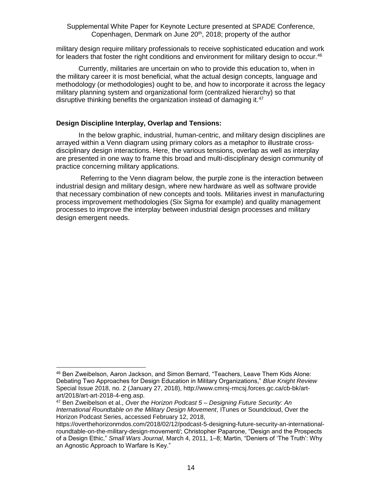military design require military professionals to receive sophisticated education and work for leaders that foster the right conditions and environment for military design to occur.<sup>46</sup>

Currently, militaries are uncertain on who to provide this education to, when in the military career it is most beneficial, what the actual design concepts, language and methodology (or methodologies) ought to be, and how to incorporate it across the legacy military planning system and organizational form (centralized hierarchy) so that disruptive thinking benefits the organization instead of damaging it.<sup>47</sup>

# **Design Discipline Interplay, Overlap and Tensions:**

In the below graphic, industrial, human-centric, and military design disciplines are arrayed within a Venn diagram using primary colors as a metaphor to illustrate crossdisciplinary design interactions. Here, the various tensions, overlap as well as interplay are presented in one way to frame this broad and multi-disciplinary design community of practice concerning military applications.

Referring to the Venn diagram below, the purple zone is the interaction between industrial design and military design, where new hardware as well as software provide that necessary combination of new concepts and tools. Militaries invest in manufacturing process improvement methodologies (Six Sigma for example) and quality management processes to improve the interplay between industrial design processes and military design emergent needs.

<sup>46</sup> Ben Zweibelson, Aaron Jackson, and Simon Bernard, "Teachers, Leave Them Kids Alone: Debating Two Approaches for Design Education in Military Organizations," *Blue Knight Review* Special Issue 2018, no. 2 (January 27, 2018), http://www.cmrsj-rmcsj.forces.gc.ca/cb-bk/artart/2018/art-art-2018-4-eng.asp.

<sup>47</sup> Ben Zweibelson et al., *Over the Horizon Podcast 5 – Designing Future Security: An International Roundtable on the Military Design Movement*, ITunes or Soundcloud, Over the Horizon Podcast Series, accessed February 12, 2018,

https://overthehorizonmdos.com/2018/02/12/podcast-5-designing-future-security-an-internationalroundtable-on-the-military-design-movement/; Christopher Paparone, "Design and the Prospects of a Design Ethic," *Small Wars Journal*, March 4, 2011, 1–8; Martin, "Deniers of 'The Truth': Why an Agnostic Approach to Warfare Is Key."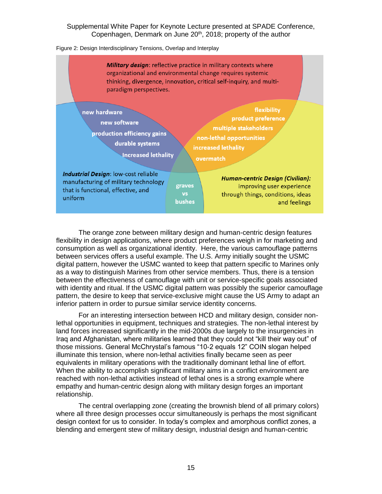#### Figure 2: Design Interdisciplinary Tensions, Overlap and Interplay



The orange zone between military design and human-centric design features flexibility in design applications, where product preferences weigh in for marketing and consumption as well as organizational identity. Here, the various camouflage patterns between services offers a useful example. The U.S. Army initially sought the USMC digital pattern, however the USMC wanted to keep that pattern specific to Marines only as a way to distinguish Marines from other service members. Thus, there is a tension between the effectiveness of camouflage with unit or service-specific goals associated with identity and ritual. If the USMC digital pattern was possibly the superior camouflage pattern, the desire to keep that service-exclusive might cause the US Army to adapt an inferior pattern in order to pursue similar service identity concerns.

For an interesting intersection between HCD and military design, consider nonlethal opportunities in equipment, techniques and strategies. The non-lethal interest by land forces increased significantly in the mid-2000s due largely to the insurgencies in Iraq and Afghanistan, where militaries learned that they could not "kill their way out" of those missions. General McChrystal's famous "10-2 equals 12" COIN slogan helped illuminate this tension, where non-lethal activities finally became seen as peer equivalents in military operations with the traditionally dominant lethal line of effort. When the ability to accomplish significant military aims in a conflict environment are reached with non-lethal activities instead of lethal ones is a strong example where empathy and human-centric design along with military design forges an important relationship.

The central overlapping zone (creating the brownish blend of all primary colors) where all three design processes occur simultaneously is perhaps the most significant design context for us to consider. In today's complex and amorphous conflict zones, a blending and emergent stew of military design, industrial design and human-centric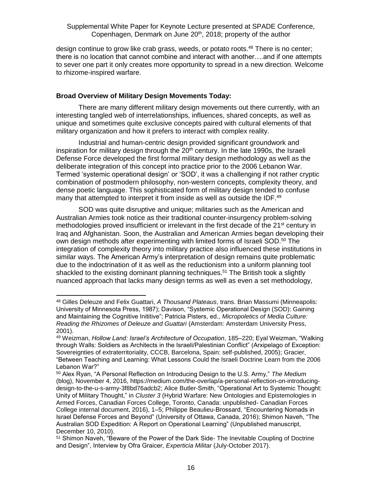design continue to grow like crab grass, weeds, or potato roots.<sup>48</sup> There is no center; there is no location that cannot combine and interact with another….and if one attempts to sever one part it only creates more opportunity to spread in a new direction. Welcome to rhizome-inspired warfare.

# **Broad Overview of Military Design Movements Today:**

There are many different military design movements out there currently, with an interesting tangled web of interrelationships, influences, shared concepts, as well as unique and sometimes quite exclusive concepts paired with cultural elements of that military organization and how it prefers to interact with complex reality.

Industrial and human-centric design provided significant groundwork and inspiration for military design through the  $20<sup>th</sup>$  century. In the late 1990s, the Israeli Defense Force developed the first formal military design methodology as well as the deliberate integration of this concept into practice prior to the 2006 Lebanon War. Termed 'systemic operational design' or 'SOD', it was a challenging if not rather cryptic combination of postmodern philosophy, non-western concepts, complexity theory, and dense poetic language. This sophisticated form of military design tended to confuse many that attempted to interpret it from inside as well as outside the IDF.<sup>49</sup>

SOD was quite disruptive and unique; militaries such as the American and Australian Armies took notice as their traditional counter-insurgency problem-solving methodologies proved insufficient or irrelevant in the first decade of the  $21<sup>st</sup>$  century in Iraq and Afghanistan. Soon, the Australian and American Armies began developing their own design methods after experimenting with limited forms of Israeli SOD.<sup>50</sup> The integration of complexity theory into military practice also influenced these institutions in similar ways. The American Army's interpretation of design remains quite problematic due to the indoctrination of it as well as the reductionism into a uniform planning tool shackled to the existing dominant planning techniques.<sup>51</sup> The British took a slightly nuanced approach that lacks many design terms as well as even a set methodology,

 <sup>48</sup> Gilles Deleuze and Felix Guattari, *A Thousand Plateaus*, trans. Brian Massumi (Minneapolis: University of Minnesota Press, 1987); Davison, "Systemic Operational Design (SOD): Gaining and Maintaining the Cognitive Inititive"; Patricia Pisters, ed., *Micropoletics of Media Culture: Reading the Rhizomes of Deleuze and Guattari* (Amsterdam: Amsterdam University Press, 2001).

<sup>49</sup> Weizman, *Hollow Land: Israel's Architecture of Occupation*, 185–220; Eyal Weizman, "Walking through Walls: Soldiers as Architects in the Israeli/Palestinian Conflict" (Arxipelago of Exception: Sovereignties of extraterritoriality, CCCB, Barcelona, Spain: self-published, 2005); Gracier, "Between Teaching and Learning: What Lessons Could the Israeli Doctrine Learn from the 2006 Lebanon War?"

<sup>50</sup> Alex Ryan, "A Personal Reflection on Introducing Design to the U.S. Army," *The Medium* (blog), November 4, 2016, https://medium.com/the-overlap/a-personal-reflection-on-introducingdesign-to-the-u-s-army-3f8bd76adcb2; Alice Butler-Smith, "Operational Art to Systemic Thought: Unity of Military Thought," in *Cluster 3* (Hybrid Warfare: New Ontologies and Epistemologies in Armed Forces, Canadian Forces College, Toronto, Canada: unpublished- Canadian Forces College internal document, 2016), 1–5; Philippe Beaulieu-Brossard, "Encountering Nomads in Israel Defense Forces and Beyond" (University of Ottawa, Canada, 2016); Shimon Naveh, "The Australian SOD Expedition: A Report on Operational Learning" (Unpublished manuscript, December 10, 2010).

<sup>51</sup> Shimon Naveh, "Beware of the Power of the Dark Side- The Inevitable Coupling of Doctrine and Design", Interview by Ofra Graicer, *Experticia Militar* (July-October 2017).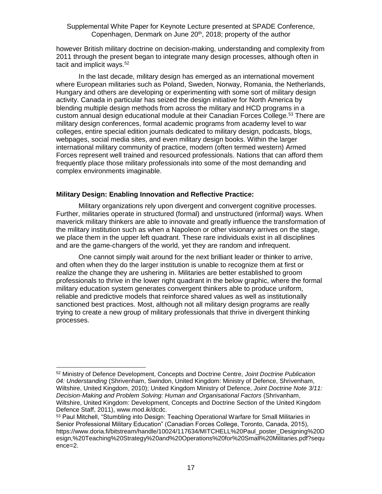however British military doctrine on decision-making, understanding and complexity from 2011 through the present began to integrate many design processes, although often in tacit and implicit ways.<sup>52</sup>

In the last decade, military design has emerged as an international movement where European militaries such as Poland, Sweden, Norway, Romania, the Netherlands, Hungary and others are developing or experimenting with some sort of military design activity. Canada in particular has seized the design initiative for North America by blending multiple design methods from across the military and HCD programs in a custom annual design educational module at their Canadian Forces College.<sup>53</sup> There are military design conferences, formal academic programs from academy level to war colleges, entire special edition journals dedicated to military design, podcasts, blogs, webpages, social media sites, and even military design books. Within the larger international military community of practice, modern (often termed western) Armed Forces represent well trained and resourced professionals. Nations that can afford them frequently place those military professionals into some of the most demanding and complex environments imaginable.

# **Military Design: Enabling Innovation and Reflective Practice:**

Military organizations rely upon divergent and convergent cognitive processes. Further, militaries operate in structured (formal) and unstructured (informal) ways. When maverick military thinkers are able to innovate and greatly influence the transformation of the military institution such as when a Napoleon or other visionary arrives on the stage, we place them in the upper left quadrant. These rare individuals exist in all disciplines and are the game-changers of the world, yet they are random and infrequent.

One cannot simply wait around for the next brilliant leader or thinker to arrive, and often when they do the larger institution is unable to recognize them at first or realize the change they are ushering in. Militaries are better established to groom professionals to thrive in the lower right quadrant in the below graphic, where the formal military education system generates convergent thinkers able to produce uniform, reliable and predictive models that reinforce shared values as well as institutionally sanctioned best practices. Most, although not all military design programs are really trying to create a new group of military professionals that thrive in divergent thinking processes.

<sup>52</sup> Ministry of Defence Development, Concepts and Doctrine Centre, *Joint Doctrine Publication 04: Understanding* (Shrivenham, Swindon, United Kingdom: Ministry of Defence, Shrivenham, Wiltshire, United Kingdom, 2010); United Kingdom Ministry of Defence, *Joint Doctrine Note 3/11: Decision-Making and Problem Solving: Human and Organisational Factors* (Shrivanham, Wiltshire, United Kingdom: Development, Concepts and Doctrine Section of the United Kingdom Defence Staff, 2011), www.mod.ik/dcdc.

<sup>53</sup> Paul Mitchell, "Stumbling into Design: Teaching Operational Warfare for Small Militaries in Senior Professional Military Education" (Canadian Forces College, Toronto, Canada, 2015), https://www.doria.fi/bitstream/handle/10024/117634/MITCHELL%20Paul\_poster\_Designing%20D esign,%20Teaching%20Strategy%20and%20Operations%20for%20Small%20Militaries.pdf?sequ ence=2.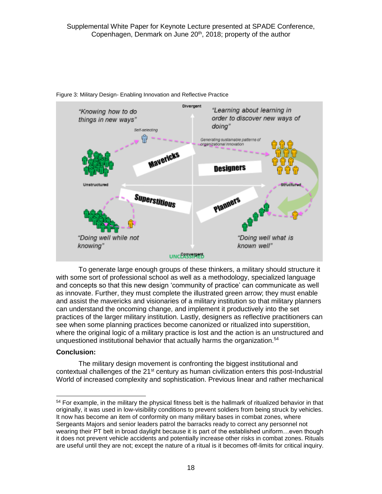

Figure 3: Military Design- Enabling Innovation and Reflective Practice

To generate large enough groups of these thinkers, a military should structure it with some sort of professional school as well as a methodology, specialized language and concepts so that this new design 'community of practice' can communicate as well as innovate. Further, they must complete the illustrated green arrow; they must enable and assist the mavericks and visionaries of a military institution so that military planners can understand the oncoming change, and implement it productively into the set practices of the larger military institution. Lastly, designers as reflective practitioners can see when some planning practices become canonized or ritualized into superstition, where the original logic of a military practice is lost and the action is an unstructured and unquestioned institutional behavior that actually harms the organization.<sup>54</sup>

#### **Conclusion:**

The military design movement is confronting the biggest institutional and contextual challenges of the  $21<sup>st</sup>$  century as human civilization enters this post-Industrial World of increased complexity and sophistication. Previous linear and rather mechanical

 $\overline{a}$ <sup>54</sup> For example, in the military the physical fitness belt is the hallmark of ritualized behavior in that originally, it was used in low-visibility conditions to prevent soldiers from being struck by vehicles. It now has become an item of conformity on many military bases in combat zones, where Sergeants Majors and senior leaders patrol the barracks ready to correct any personnel not wearing their PT belt in broad daylight because it is part of the established uniform…even though it does not prevent vehicle accidents and potentially increase other risks in combat zones. Rituals are useful until they are not; except the nature of a ritual is it becomes off-limits for critical inquiry.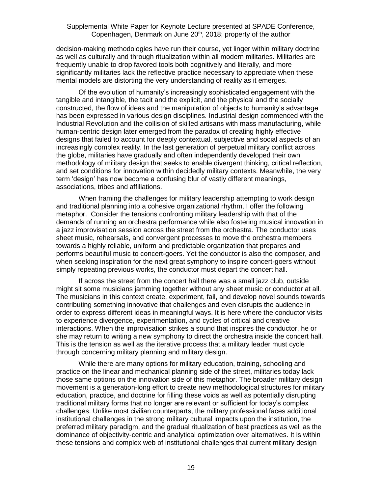decision-making methodologies have run their course, yet linger within military doctrine as well as culturally and through ritualization within all modern militaries. Militaries are frequently unable to drop favored tools both cognitively and literally, and more significantly militaries lack the reflective practice necessary to appreciate when these mental models are distorting the very understanding of reality as it emerges.

Of the evolution of humanity's increasingly sophisticated engagement with the tangible and intangible, the tacit and the explicit, and the physical and the socially constructed, the flow of ideas and the manipulation of objects to humanity's advantage has been expressed in various design disciplines. Industrial design commenced with the Industrial Revolution and the collision of skilled artisans with mass manufacturing, while human-centric design later emerged from the paradox of creating highly effective designs that failed to account for deeply contextual, subjective and social aspects of an increasingly complex reality. In the last generation of perpetual military conflict across the globe, militaries have gradually and often independently developed their own methodology of military design that seeks to enable divergent thinking, critical reflection, and set conditions for innovation within decidedly military contexts. Meanwhile, the very term 'design' has now become a confusing blur of vastly different meanings, associations, tribes and affiliations.

When framing the challenges for military leadership attempting to work design and traditional planning into a cohesive organizational rhythm, I offer the following metaphor. Consider the tensions confronting military leadership with that of the demands of running an orchestra performance while also fostering musical innovation in a jazz improvisation session across the street from the orchestra. The conductor uses sheet music, rehearsals, and convergent processes to move the orchestra members towards a highly reliable, uniform and predictable organization that prepares and performs beautiful music to concert-goers. Yet the conductor is also the composer, and when seeking inspiration for the next great symphony to inspire concert-goers without simply repeating previous works, the conductor must depart the concert hall.

If across the street from the concert hall there was a small jazz club, outside might sit some musicians jamming together without any sheet music or conductor at all. The musicians in this context create, experiment, fail, and develop novel sounds towards contributing something innovative that challenges and even disrupts the audience in order to express different ideas in meaningful ways. It is here where the conductor visits to experience divergence, experimentation, and cycles of critical and creative interactions. When the improvisation strikes a sound that inspires the conductor, he or she may return to writing a new symphony to direct the orchestra inside the concert hall. This is the tension as well as the iterative process that a military leader must cycle through concerning military planning and military design.

While there are many options for military education, training, schooling and practice on the linear and mechanical planning side of the street, militaries today lack those same options on the innovation side of this metaphor. The broader military design movement is a generation-long effort to create new methodological structures for military education, practice, and doctrine for filling these voids as well as potentially disrupting traditional military forms that no longer are relevant or sufficient for today's complex challenges. Unlike most civilian counterparts, the military professional faces additional institutional challenges in the strong military cultural impacts upon the institution, the preferred military paradigm, and the gradual ritualization of best practices as well as the dominance of objectivity-centric and analytical optimization over alternatives. It is within these tensions and complex web of institutional challenges that current military design